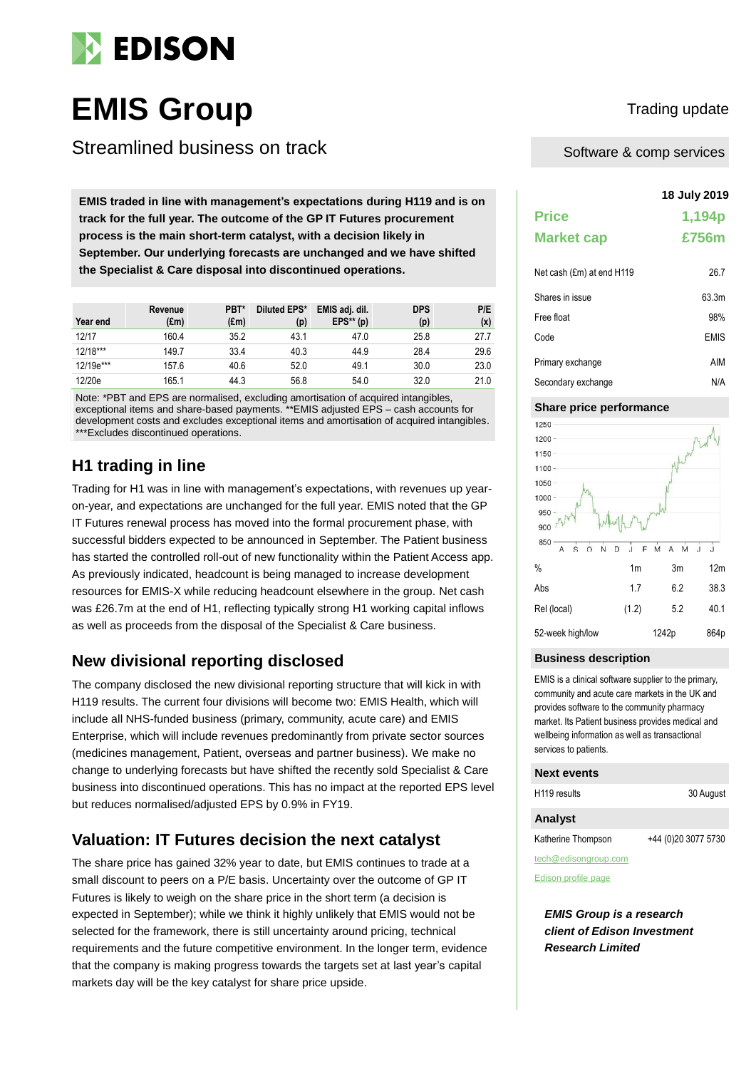

# **EMIS Group** Trading update

Streamlined business on track

**18 July 2019 EMIS traded in line with management's expectations during H119 and is on track for the full year. The outcome of the GP IT Futures procurement process is the main short-term catalyst, with a decision likely in September. Our underlying forecasts are unchanged and we have shifted the Specialist & Care disposal into discontinued operations.**

| Year end   | Revenue<br>(£m) | PBT*<br>(£m) | Diluted EPS*<br>(p) | EMIS adj. dil.<br>$EPS**$ (p) | <b>DPS</b><br>(p) | P/E<br>(x) |
|------------|-----------------|--------------|---------------------|-------------------------------|-------------------|------------|
| 12/17      | 160.4           | 35.2         | 43.1                | 47.0                          | 25.8              | 27.7       |
| $12/18***$ | 149.7           | 33.4         | 40.3                | 44.9                          | 28.4              | 29.6       |
| 12/19e***  | 157.6           | 40.6         | 52.0                | 49.1                          | 30.0              | 23.0       |
| 12/20e     | 165.1           | 44.3         | 56.8                | 54.0                          | 32.0              | 21.0       |

Note: \*PBT and EPS are normalised, excluding amortisation of acquired intangibles, exceptional items and share-based payments. \*\*EMIS adjusted EPS – cash accounts for development costs and excludes exceptional items and amortisation of acquired intangibles. \*\*\*Excludes discontinued operations.

## **H1 trading in line**

Trading for H1 was in line with management's expectations, with revenues up yearon-year, and expectations are unchanged for the full year. EMIS noted that the GP IT Futures renewal process has moved into the formal procurement phase, with successful bidders expected to be announced in September. The Patient business has started the controlled roll-out of new functionality within the Patient Access app. As previously indicated, headcount is being managed to increase development resources for EMIS-X while reducing headcount elsewhere in the group. Net cash was £26.7m at the end of H1, reflecting typically strong H1 working capital inflows as well as proceeds from the disposal of the Specialist & Care business.

### **New divisional reporting disclosed**

The company disclosed the new divisional reporting structure that will kick in with H119 results. The current four divisions will become two: EMIS Health, which will include all NHS-funded business (primary, community, acute care) and EMIS Enterprise, which will include revenues predominantly from private sector sources (medicines management, Patient, overseas and partner business). We make no change to underlying forecasts but have shifted the recently sold Specialist & Care business into discontinued operations. This has no impact at the reported EPS level but reduces normalised/adjusted EPS by 0.9% in FY19.

### **Valuation: IT Futures decision the next catalyst**

The share price has gained 32% year to date, but EMIS continues to trade at a small discount to peers on a P/E basis. Uncertainty over the outcome of GP IT Futures is likely to weigh on the share price in the short term (a decision is expected in September); while we think it highly unlikely that EMIS would not be selected for the framework, there is still uncertainty around pricing, technical requirements and the future competitive environment. In the longer term, evidence that the company is making progress towards the targets set at last year's capital markets day will be the key catalyst for share price upside.

Software & comp services

# **Price 1,194p Market cap £756m** Net cash (£m) at end H119 26.7 Shares in issue 63.3m Free float 98% Code EMIS Primary exchange AIM Secondary exchange N/A

### **Share price performance**



### **Business description**

EMIS is a clinical software supplier to the primary, community and acute care markets in the UK and provides software to the community pharmacy market. Its Patient business provides medical and wellbeing information as well as transactional services to patients.

### **Next events**

| H119 results | 30 August |
|--------------|-----------|
|              |           |

### **Analyst**

Katherine Thompson +44 (0)20 3077 5730

tech@edisongroup.com

[Edison profile page](https://www.edisongroup.com/company/emis-group)

*EMIS Group is a research client of Edison Investment Research Limited*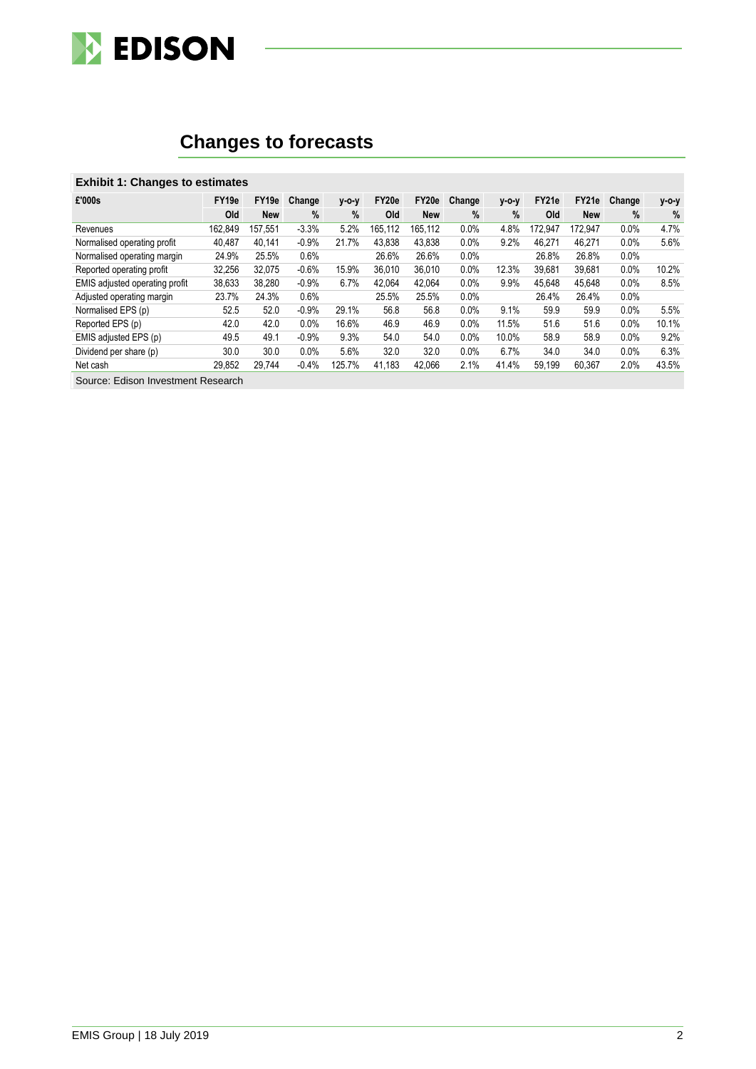

# **Changes to forecasts**

### **Exhibit 1: Changes to estimates**

| £'000s                         | FY <sub>19e</sub> | FY19e      | Change  | $V-O-V$ | FY20e   | FY20e      | Change  | y-o-y | FY21e   | FY21e      | Change | $V-O-V$       |
|--------------------------------|-------------------|------------|---------|---------|---------|------------|---------|-------|---------|------------|--------|---------------|
|                                | Old               | <b>New</b> | %       | $\%$    | Old     | <b>New</b> | %       | $\%$  | Old     | <b>New</b> | $\%$   | $\frac{0}{0}$ |
| Revenues                       | 162.849           | 157.551    | $-3.3%$ | 5.2%    | 165.112 | 165,112    | $0.0\%$ | 4.8%  | 172.947 | 172.947    | 0.0%   | 4.7%          |
| Normalised operating profit    | 40.487            | 40.141     | $-0.9%$ | 21.7%   | 43.838  | 43.838     | 0.0%    | 9.2%  | 46.271  | 46.271     | 0.0%   | 5.6%          |
| Normalised operating margin    | 24.9%             | 25.5%      | 0.6%    |         | 26.6%   | 26.6%      | 0.0%    |       | 26.8%   | 26.8%      | 0.0%   |               |
| Reported operating profit      | 32,256            | 32.075     | $-0.6%$ | 15.9%   | 36.010  | 36.010     | 0.0%    | 12.3% | 39.681  | 39,681     | 0.0%   | 10.2%         |
| EMIS adjusted operating profit | 38,633            | 38,280     | $-0.9%$ | 6.7%    | 42.064  | 42.064     | $0.0\%$ | 9.9%  | 45.648  | 45.648     | 0.0%   | 8.5%          |
| Adjusted operating margin      | 23.7%             | 24.3%      | 0.6%    |         | 25.5%   | 25.5%      | 0.0%    |       | 26.4%   | 26.4%      | 0.0%   |               |
| Normalised EPS (p)             | 52.5              | 52.0       | $-0.9%$ | 29.1%   | 56.8    | 56.8       | 0.0%    | 9.1%  | 59.9    | 59.9       | 0.0%   | 5.5%          |
| Reported EPS (p)               | 42.0              | 42.0       | 0.0%    | 16.6%   | 46.9    | 46.9       | 0.0%    | 11.5% | 51.6    | 51.6       | 0.0%   | 10.1%         |
| EMIS adjusted EPS (p)          | 49.5              | 49.1       | $-0.9%$ | 9.3%    | 54.0    | 54.0       | 0.0%    | 10.0% | 58.9    | 58.9       | 0.0%   | 9.2%          |
| Dividend per share (p)         | 30.0              | 30.0       | $0.0\%$ | 5.6%    | 32.0    | 32.0       | $0.0\%$ | 6.7%  | 34.0    | 34.0       | 0.0%   | 6.3%          |
| Net cash                       | 29.852            | 29.744     | $-0.4%$ | 125.7%  | 41.183  | 42.066     | 2.1%    | 41.4% | 59.199  | 60.367     | 2.0%   | 43.5%         |

Source: Edison Investment Research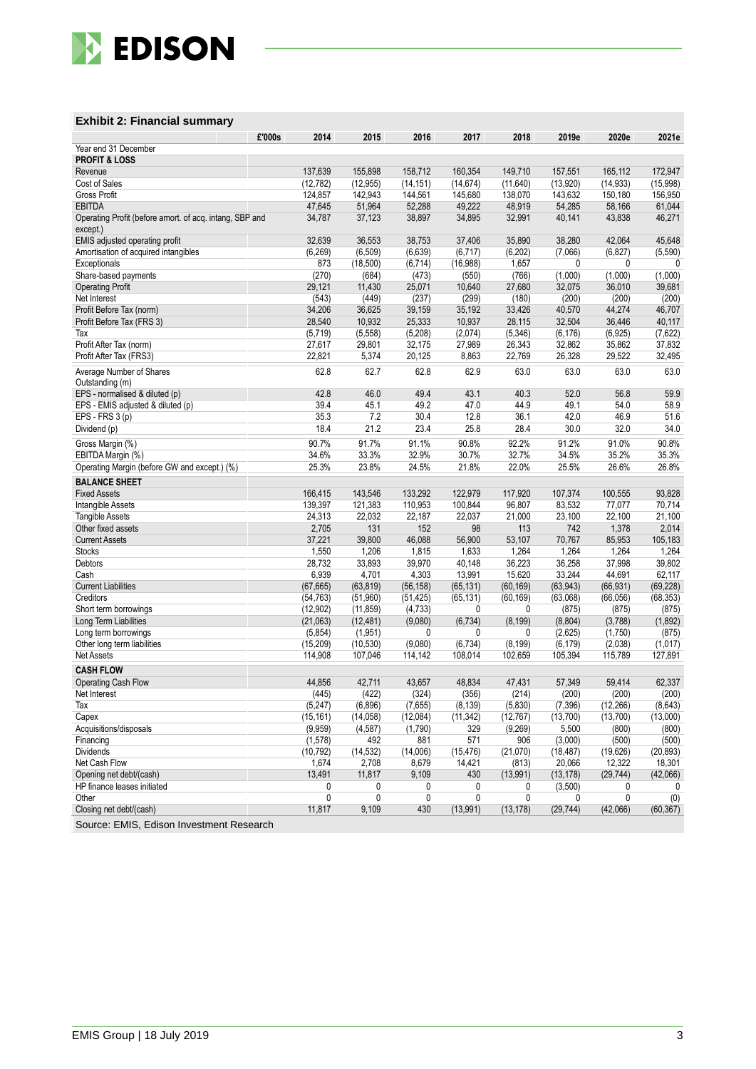

### **Exhibit 2: Financial summary**

| £'000s                                                  | 2014                 | 2015                  | 2016                | 2017                  | 2018                 | 2019e             | 2020e              | 2021e             |
|---------------------------------------------------------|----------------------|-----------------------|---------------------|-----------------------|----------------------|-------------------|--------------------|-------------------|
| Year end 31 December                                    |                      |                       |                     |                       |                      |                   |                    |                   |
| <b>PROFIT &amp; LOSS</b>                                |                      |                       |                     |                       |                      |                   |                    |                   |
| Revenue                                                 | 137,639              | 155,898               | 158,712             | 160,354               | 149,710              | 157,551           | 165,112            | 172,947           |
| Cost of Sales                                           | (12, 782)            | (12, 955)             | (14, 151)           | (14, 674)             | (11, 640)            | (13,920)          | (14, 933)          | (15,998)          |
| <b>Gross Profit</b>                                     | 124,857              | 142.943               | 144,561             | 145,680               | 138,070              | 143,632           | 150,180            | 156,950           |
| <b>EBITDA</b>                                           | 47,645               | 51,964                | 52,288              | 49,222                | 48,919               | 54,285            | 58,166             | 61,044            |
| Operating Profit (before amort. of acq. intang, SBP and | 34,787               | 37,123                | 38,897              | 34,895                | 32,991               | 40,141            | 43,838             | 46,271            |
| except.)                                                |                      |                       |                     |                       |                      |                   |                    |                   |
| EMIS adjusted operating profit                          | 32,639               | 36,553                | 38,753              | 37,406                | 35,890               | 38,280            | 42,064             | 45,648            |
| Amortisation of acquired intangibles                    | (6, 269)             | (6, 509)              | (6,639)             | (6, 717)              | (6, 202)             | (7,066)           | (6, 827)           | (5,590)           |
| Exceptionals                                            | 873                  | (18, 500)             | (6, 714)            | (16, 988)             | 1,657                | 0                 | 0                  | $\mathbf{0}$      |
| Share-based payments                                    | (270)                | (684)                 | (473)               | (550)                 | (766)                | (1,000)           | (1,000)            | (1,000)           |
| <b>Operating Profit</b>                                 | 29,121               | 11,430                | 25,071              | 10,640                | 27,680               | 32,075            | 36,010             | 39,681            |
| Net Interest                                            | (543)                | (449)                 | (237)               | (299)                 | (180)                | (200)             | (200)              | (200)             |
| Profit Before Tax (norm)                                | 34,206               | 36,625                | 39,159              | 35,192                | 33,426               | 40,570            | 44,274             | 46,707            |
| Profit Before Tax (FRS 3)                               | 28,540               | 10,932                | 25,333              | 10,937                | 28,115               | 32,504            | 36,446             | 40,117            |
| Tax                                                     | (5, 719)             | (5, 558)              | (5, 208)            | (2,074)               | (5, 346)             | (6, 176)          | (6,925)            | (7,622)           |
| Profit After Tax (norm)                                 | 27,617               | 29,801                | 32,175              | 27,989                | 26,343               | 32,862            | 35,862             | 37,832            |
| Profit After Tax (FRS3)                                 | 22,821               | 5,374                 | 20,125              | 8,863                 | 22,769               | 26,328            | 29,522             | 32,495            |
| Average Number of Shares<br>Outstanding (m)             | 62.8                 | 62.7                  | 62.8                | 62.9                  | 63.0                 | 63.0              | 63.0               | 63.0              |
| EPS - normalised & diluted (p)                          | 42.8                 | 46.0                  | 49.4                | 43.1                  | 40.3                 | 52.0              | 56.8               | 59.9              |
| EPS - EMIS adjusted & diluted (p)                       | 39.4                 | 45.1                  | 49.2                | 47.0                  | 44.9                 | 49.1              | 54.0               | 58.9              |
| EPS - FRS 3 (p)                                         | 35.3                 | 7.2                   | 30.4                | 12.8                  | 36.1                 | 42.0              | 46.9               | 51.6              |
| Dividend (p)                                            | 18.4                 | 21.2                  | 23.4                | 25.8                  | 28.4                 | 30.0              | 32.0               | 34.0              |
|                                                         | 90.7%                | 91.7%                 | 91.1%               | 90.8%                 | 92.2%                | 91.2%             | 91.0%              | 90.8%             |
| Gross Margin (%)<br>EBITDA Margin (%)                   | 34.6%                | 33.3%                 | 32.9%               | 30.7%                 | 32.7%                | 34.5%             | 35.2%              | 35.3%             |
| Operating Margin (before GW and except.) (%)            | 25.3%                | 23.8%                 | 24.5%               | 21.8%                 | 22.0%                | 25.5%             | 26.6%              | 26.8%             |
|                                                         |                      |                       |                     |                       |                      |                   |                    |                   |
| <b>BALANCE SHEET</b>                                    |                      |                       |                     |                       |                      |                   |                    |                   |
| <b>Fixed Assets</b>                                     | 166,415              | 143,546               | 133,292             | 122,979               | 117,920              | 107,374           | 100,555            | 93,828            |
| Intangible Assets                                       | 139,397              | 121,383               | 110,953             | 100,844               | 96,807               | 83,532            | 77,077             | 70,714            |
| <b>Tangible Assets</b>                                  | 24,313               | 22,032                | 22,187              | 22,037                | 21,000               | 23,100            | 22,100             | 21,100            |
| Other fixed assets                                      | 2,705                | 131                   | 152                 | 98                    | 113                  | 742               | 1,378              | 2,014             |
| <b>Current Assets</b>                                   | 37,221               | 39,800                | 46,088              | 56,900                | 53,107               | 70,767            | 85,953             | 105,183           |
| <b>Stocks</b><br>Debtors                                | 1,550<br>28,732      | 1,206<br>33,893       | 1,815               | 1,633                 | 1,264                | 1,264<br>36,258   | 1,264              | 1,264<br>39,802   |
| Cash                                                    | 6,939                | 4,701                 | 39,970<br>4,303     | 40,148<br>13,991      | 36,223<br>15,620     | 33,244            | 37,998<br>44,691   | 62,117            |
| <b>Current Liabilities</b>                              | (67, 665)            | (63, 819)             | (56, 158)           | (65, 131)             | (60, 169)            | (63, 943)         | (66, 931)          | (69, 228)         |
| Creditors                                               | (54, 763)            | (51,960)              | (51, 425)           | (65, 131)             | (60, 169)            | (63,068)          | (66, 056)          | (68, 353)         |
| Short term borrowings                                   | (12, 902)            | (11, 859)             | (4, 733)            | 0                     | 0                    | (875)             | (875)              | (875)             |
| Long Term Liabilities                                   | (21,063)             | (12, 481)             | (9,080)             | (6, 734)              | (8, 199)             | (8,804)           | (3,788)            | (1,892)           |
| Long term borrowings                                    | (5, 854)             | (1, 951)              | 0                   | 0                     | 0                    | (2,625)           | (1,750)            | (875)             |
| Other long term liabilities                             | (15, 209)            | (10, 530)             | (9,080)             | (6, 734)              | (8, 199)             | (6, 179)          | (2,038)            | (1,017)           |
| Net Assets                                              | 114,908              | 107,046               | 114,142             | 108,014               | 102,659              | 105,394           | 115,789            | 127,891           |
|                                                         |                      |                       |                     |                       |                      |                   |                    |                   |
| <b>CASH FLOW</b>                                        |                      |                       |                     |                       |                      |                   |                    |                   |
| Operating Cash Flow                                     | 44,856               | 42,711                | 43,657              | 48,834                | 47.431               | 57.349            | 59,414             | 62,337            |
| Net Interest                                            | (445)                | (422)                 | (324)               | (356)                 | (214)                | (200)             | (200)<br>(12, 266) | (200)<br>(8,643)  |
| Tax                                                     | (5,247)<br>(15, 161) | (6,896)               | (7,655)             | (8, 139)<br>(11, 342) | (5,830)              | (7, 396)          |                    |                   |
| Capex<br>Acquisitions/disposals                         | (9,959)              | (14, 058)<br>(4, 587) | (12,084)<br>(1,790) | 329                   | (12, 767)<br>(9,269) | (13,700)<br>5,500 | (13,700)<br>(800)  | (13,000)<br>(800) |
| Financing                                               | (1,578)              | 492                   | 881                 | 571                   | 906                  | (3,000)           | (500)              | (500)             |
| <b>Dividends</b>                                        | (10, 792)            | (14, 532)             | (14,006)            | (15, 476)             | (21,070)             | (18, 487)         | (19, 626)          | (20, 893)         |
| Net Cash Flow                                           | 1,674                | 2,708                 | 8,679               | 14,421                | (813)                | 20,066            | 12,322             | 18,301            |
| Opening net debt/(cash)                                 | 13,491               | 11,817                | 9,109               | 430                   | (13, 991)            | (13, 178)         | (29, 744)          | (42,066)          |
| HP finance leases initiated                             | 0                    | 0                     | 0                   | 0                     | 0                    | (3,500)           | 0                  | 0                 |
| Other                                                   | $\mathbf 0$          | 0                     | 0                   | $\mathbf{0}$          | 0                    | 0                 | $\mathbf{0}$       | (0)               |
| Closing net debt/(cash)                                 | 11,817               | 9,109                 | 430                 | (13,991)              | (13, 178)            | (29, 744)         | (42,066)           | (60, 367)         |
|                                                         |                      |                       |                     |                       |                      |                   |                    |                   |

Source: EMIS, Edison Investment Research